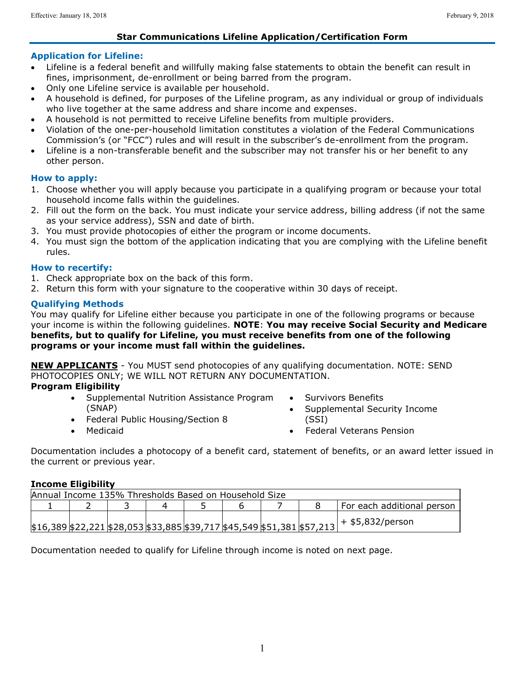## **Star Communications Lifeline Application/Certification Form**

### **Application for Lifeline:**

- Lifeline is a federal benefit and willfully making false statements to obtain the benefit can result in fines, imprisonment, de-enrollment or being barred from the program.
- Only one Lifeline service is available per household.
- A household is defined, for purposes of the Lifeline program, as any individual or group of individuals who live together at the same address and share income and expenses.
- A household is not permitted to receive Lifeline benefits from multiple providers.
- Violation of the one-per-household limitation constitutes a violation of the Federal Communications Commission's (or "FCC") rules and will result in the subscriber's de-enrollment from the program.
- Lifeline is a non-transferable benefit and the subscriber may not transfer his or her benefit to any other person.

## **How to apply:**

- 1. Choose whether you will apply because you participate in a qualifying program or because your total household income falls within the guidelines.
- 2. Fill out the form on the back. You must indicate your service address, billing address (if not the same as your service address), SSN and date of birth.
- 3. You must provide photocopies of either the program or income documents.
- 4. You must sign the bottom of the application indicating that you are complying with the Lifeline benefit rules.

## **How to recertify:**

- 1. Check appropriate box on the back of this form.
- 2. Return this form with your signature to the cooperative within 30 days of receipt.

## **Qualifying Methods**

You may qualify for Lifeline either because you participate in one of the following programs or because your income is within the following guidelines. **NOTE**: **You may receive Social Security and Medicare benefits, but to qualify for Lifeline, you must receive benefits from one of the following programs or your income must fall within the guidelines.**

**NEW APPLICANTS** - You MUST send photocopies of any qualifying documentation. NOTE: SEND PHOTOCOPIES ONLY; WE WILL NOT RETURN ANY DOCUMENTATION.

## **Program Eligibility**

- Supplemental Nutrition Assistance Program (SNAP) • Federal Public Housing/Section 8
- Survivors Benefits
- Supplemental Security Income (SSI)

Medicaid

• Federal Veterans Pension

Documentation includes a photocopy of a benefit card, statement of benefits, or an award letter issued in the current or previous year.

#### **Income Eligibility**

| Annual Income 135% Thresholds Based on Household Size |  |  |  |  |  |  |  |                            |  |
|-------------------------------------------------------|--|--|--|--|--|--|--|----------------------------|--|
|                                                       |  |  |  |  |  |  |  | For each additional person |  |
|                                                       |  |  |  |  |  |  |  |                            |  |

Documentation needed to qualify for Lifeline through income is noted on next page.